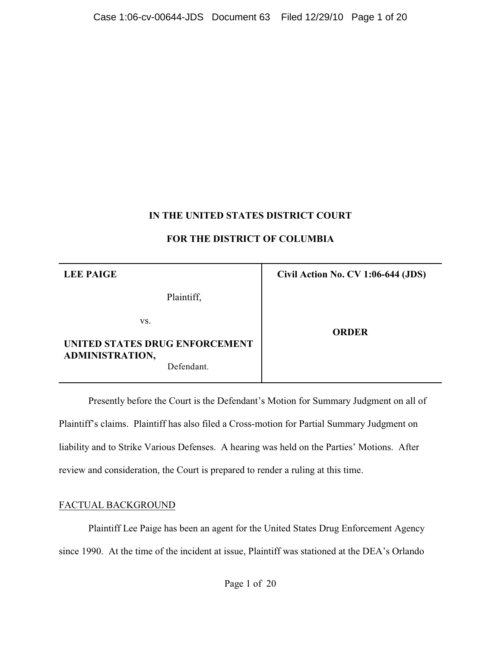# **IN THE UNITED STATES DISTRICT COURT**

## **FOR THE DISTRICT OF COLUMBIA**

| <b>LEE PAIGE</b>                                         | Civil Action No. CV 1:06-644 (JDS) |
|----------------------------------------------------------|------------------------------------|
| Plaintiff,                                               |                                    |
| VS.                                                      | <b>ORDER</b>                       |
| UNITED STATES DRUG ENFORCEMENT<br><b>ADMINISTRATION,</b> |                                    |
| Defendant.                                               |                                    |

Presently before the Court is the Defendant's Motion for Summary Judgment on all of Plaintiff's claims. Plaintiff has also filed a Cross-motion for Partial Summary Judgment on liability and to Strike Various Defenses. A hearing was held on the Parties' Motions. After review and consideration, the Court is prepared to render a ruling at this time.

# FACTUAL BACKGROUND

Plaintiff Lee Paige has been an agent for the United States Drug Enforcement Agency since 1990. At the time of the incident at issue, Plaintiff was stationed at the DEA's Orlando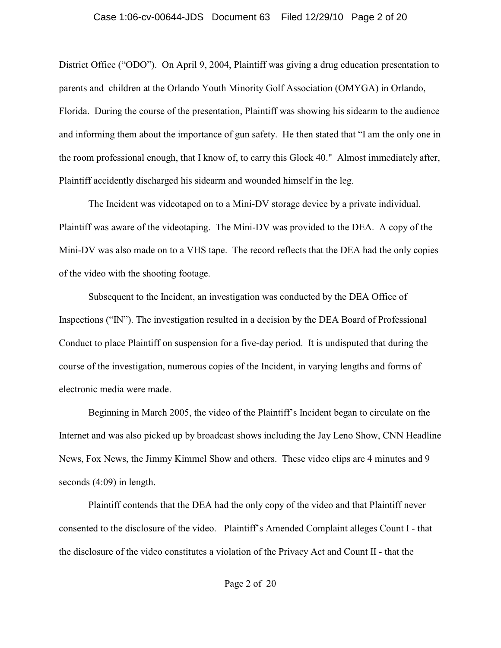District Office ("ODO"). On April 9, 2004, Plaintiff was giving a drug education presentation to parents and children at the Orlando Youth Minority Golf Association (OMYGA) in Orlando, Florida. During the course of the presentation, Plaintiff was showing his sidearm to the audience and informing them about the importance of gun safety. He then stated that "I am the only one in the room professional enough, that I know of, to carry this Glock 40." Almost immediately after, Plaintiff accidently discharged his sidearm and wounded himself in the leg.

The Incident was videotaped on to a Mini-DV storage device by a private individual. Plaintiff was aware of the videotaping. The Mini-DV was provided to the DEA. A copy of the Mini-DV was also made on to a VHS tape. The record reflects that the DEA had the only copies of the video with the shooting footage.

Subsequent to the Incident, an investigation was conducted by the DEA Office of Inspections ("IN"). The investigation resulted in a decision by the DEA Board of Professional Conduct to place Plaintiff on suspension for a five-day period. It is undisputed that during the course of the investigation, numerous copies of the Incident, in varying lengths and forms of electronic media were made.

Beginning in March 2005, the video of the Plaintiff's Incident began to circulate on the Internet and was also picked up by broadcast shows including the Jay Leno Show, CNN Headline News, Fox News, the Jimmy Kimmel Show and others. These video clips are 4 minutes and 9 seconds (4:09) in length.

Plaintiff contends that the DEA had the only copy of the video and that Plaintiff never consented to the disclosure of the video. Plaintiff's Amended Complaint alleges Count I - that the disclosure of the video constitutes a violation of the Privacy Act and Count II - that the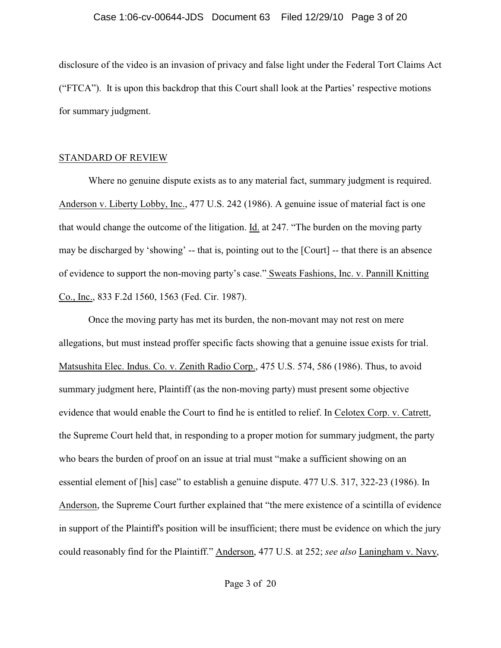## Case 1:06-cv-00644-JDS Document 63 Filed 12/29/10 Page 3 of 20

disclosure of the video is an invasion of privacy and false light under the Federal Tort Claims Act ("FTCA"). It is upon this backdrop that this Court shall look at the Parties' respective motions for summary judgment.

## STANDARD OF REVIEW

Where no genuine dispute exists as to any material fact, summary judgment is required. Anderson v. Liberty Lobby, Inc., 477 U.S. 242 (1986). A genuine issue of material fact is one that would change the outcome of the litigation. Id. at 247. "The burden on the moving party may be discharged by 'showing' -- that is, pointing out to the [Court] -- that there is an absence of evidence to support the non-moving party's case." Sweats Fashions, Inc. v. Pannill Knitting Co., Inc., 833 F.2d 1560, 1563 (Fed. Cir. 1987).

Once the moving party has met its burden, the non-movant may not rest on mere allegations, but must instead proffer specific facts showing that a genuine issue exists for trial. Matsushita Elec. Indus. Co. v. Zenith Radio Corp., 475 U.S. 574, 586 (1986). Thus, to avoid summary judgment here, Plaintiff (as the non-moving party) must present some objective evidence that would enable the Court to find he is entitled to relief. In Celotex Corp. v. Catrett, the Supreme Court held that, in responding to a proper motion for summary judgment, the party who bears the burden of proof on an issue at trial must "make a sufficient showing on an essential element of [his] case" to establish a genuine dispute. 477 U.S. 317, 322-23 (1986). In Anderson, the Supreme Court further explained that "the mere existence of a scintilla of evidence in support of the Plaintiff's position will be insufficient; there must be evidence on which the jury could reasonably find for the Plaintiff." Anderson, 477 U.S. at 252; *see also* Laningham v. Navy,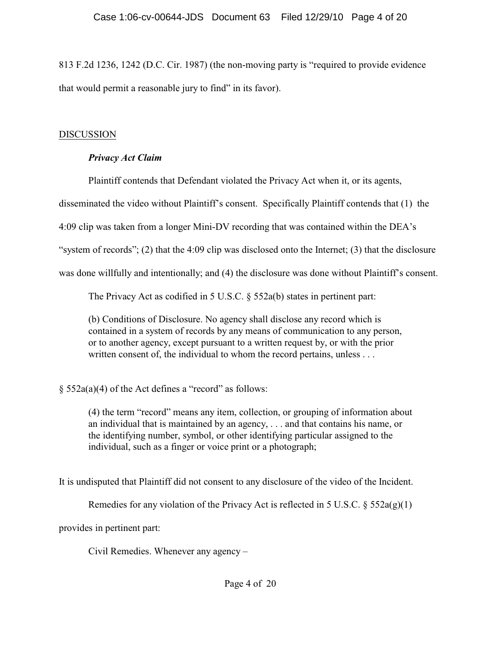813 F.2d 1236, 1242 (D.C. Cir. 1987) (the non-moving party is "required to provide evidence that would permit a reasonable jury to find" in its favor).

# DISCUSSION

# *Privacy Act Claim*

Plaintiff contends that Defendant violated the Privacy Act when it, or its agents,

disseminated the video without Plaintiff's consent. Specifically Plaintiff contends that (1) the

4:09 clip was taken from a longer Mini-DV recording that was contained within the DEA's

"system of records"; (2) that the 4:09 clip was disclosed onto the Internet; (3) that the disclosure

was done willfully and intentionally; and (4) the disclosure was done without Plaintiff's consent.

The Privacy Act as codified in 5 U.S.C. § 552a(b) states in pertinent part:

(b) Conditions of Disclosure. No agency shall disclose any record which is contained in a system of records by any means of communication to any person, or to another agency, except pursuant to a written request by, or with the prior written consent of, the individual to whom the record pertains, unless . . .

§ 552a(a)(4) of the Act defines a "record" as follows:

(4) the term "record" means any item, collection, or grouping of information about an individual that is maintained by an agency, . . . and that contains his name, or the identifying number, symbol, or other identifying particular assigned to the individual, such as a finger or voice print or a photograph;

It is undisputed that Plaintiff did not consent to any disclosure of the video of the Incident.

Remedies for any violation of the Privacy Act is reflected in 5 U.S.C.  $\S 552a(g)(1)$ 

provides in pertinent part:

Civil Remedies. Whenever any agency –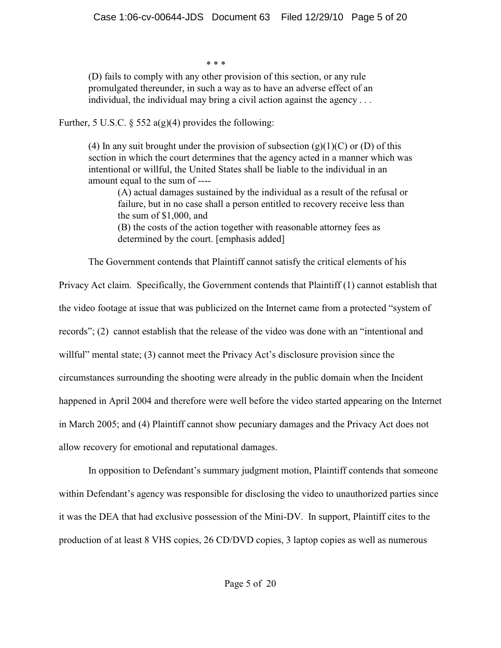\* \* \*

(D) fails to comply with any other provision of this section, or any rule promulgated thereunder, in such a way as to have an adverse effect of an individual, the individual may bring a civil action against the agency . . .

Further, 5 U.S.C.  $\frac{552 a(g)(4)}{2}$  provides the following:

(4) In any suit brought under the provision of subsection  $(g)(1)(C)$  or  $(D)$  of this section in which the court determines that the agency acted in a manner which was intentional or willful, the United States shall be liable to the individual in an amount equal to the sum of ----

(A) actual damages sustained by the individual as a result of the refusal or failure, but in no case shall a person entitled to recovery receive less than the sum of \$1,000, and

(B) the costs of the action together with reasonable attorney fees as determined by the court. [emphasis added]

The Government contends that Plaintiff cannot satisfy the critical elements of his

Privacy Act claim. Specifically, the Government contends that Plaintiff (1) cannot establish that the video footage at issue that was publicized on the Internet came from a protected "system of records"; (2) cannot establish that the release of the video was done with an "intentional and willful" mental state; (3) cannot meet the Privacy Act's disclosure provision since the circumstances surrounding the shooting were already in the public domain when the Incident happened in April 2004 and therefore were well before the video started appearing on the Internet in March 2005; and (4) Plaintiff cannot show pecuniary damages and the Privacy Act does not allow recovery for emotional and reputational damages.

In opposition to Defendant's summary judgment motion, Plaintiff contends that someone within Defendant's agency was responsible for disclosing the video to unauthorized parties since it was the DEA that had exclusive possession of the Mini-DV. In support, Plaintiff cites to the production of at least 8 VHS copies, 26 CD/DVD copies, 3 laptop copies as well as numerous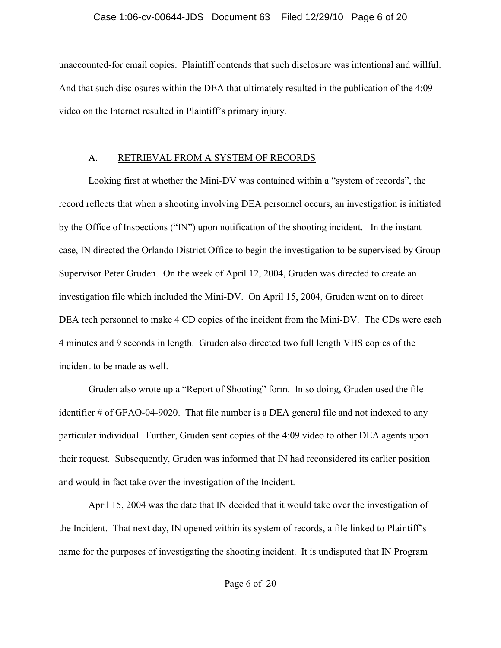## Case 1:06-cv-00644-JDS Document 63 Filed 12/29/10 Page 6 of 20

unaccounted-for email copies. Plaintiff contends that such disclosure was intentional and willful. And that such disclosures within the DEA that ultimately resulted in the publication of the 4:09 video on the Internet resulted in Plaintiff's primary injury.

# A. RETRIEVAL FROM A SYSTEM OF RECORDS

Looking first at whether the Mini-DV was contained within a "system of records", the record reflects that when a shooting involving DEA personnel occurs, an investigation is initiated by the Office of Inspections ("IN") upon notification of the shooting incident. In the instant case, IN directed the Orlando District Office to begin the investigation to be supervised by Group Supervisor Peter Gruden. On the week of April 12, 2004, Gruden was directed to create an investigation file which included the Mini-DV. On April 15, 2004, Gruden went on to direct DEA tech personnel to make 4 CD copies of the incident from the Mini-DV. The CDs were each 4 minutes and 9 seconds in length. Gruden also directed two full length VHS copies of the incident to be made as well.

Gruden also wrote up a "Report of Shooting" form. In so doing, Gruden used the file identifier # of GFAO-04-9020. That file number is a DEA general file and not indexed to any particular individual. Further, Gruden sent copies of the 4:09 video to other DEA agents upon their request. Subsequently, Gruden was informed that IN had reconsidered its earlier position and would in fact take over the investigation of the Incident.

April 15, 2004 was the date that IN decided that it would take over the investigation of the Incident. That next day, IN opened within its system of records, a file linked to Plaintiff's name for the purposes of investigating the shooting incident. It is undisputed that IN Program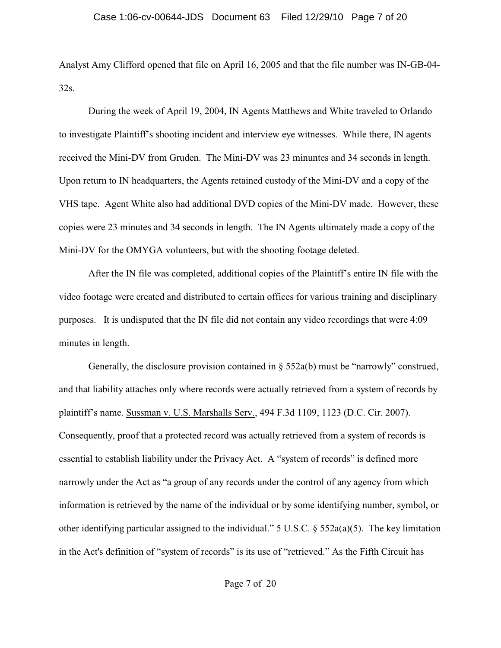Analyst Amy Clifford opened that file on April 16, 2005 and that the file number was IN-GB-04- 32s.

During the week of April 19, 2004, IN Agents Matthews and White traveled to Orlando to investigate Plaintiff's shooting incident and interview eye witnesses. While there, IN agents received the Mini-DV from Gruden. The Mini-DV was 23 minuntes and 34 seconds in length. Upon return to IN headquarters, the Agents retained custody of the Mini-DV and a copy of the VHS tape. Agent White also had additional DVD copies of the Mini-DV made. However, these copies were 23 minutes and 34 seconds in length. The IN Agents ultimately made a copy of the Mini-DV for the OMYGA volunteers, but with the shooting footage deleted.

After the IN file was completed, additional copies of the Plaintiff's entire IN file with the video footage were created and distributed to certain offices for various training and disciplinary purposes. It is undisputed that the IN file did not contain any video recordings that were 4:09 minutes in length.

Generally, the disclosure provision contained in  $\S$  552a(b) must be "narrowly" construed, and that liability attaches only where records were actually retrieved from a system of records by plaintiff's name. Sussman v. U.S. Marshalls Serv., 494 F.3d 1109, 1123 (D.C. Cir. 2007). Consequently, proof that a protected record was actually retrieved from a system of records is essential to establish liability under the Privacy Act. A "system of records" is defined more narrowly under the Act as "a group of any records under the control of any agency from which information is retrieved by the name of the individual or by some identifying number, symbol, or other identifying particular assigned to the individual." 5 U.S.C. § 552a(a)(5). The key limitation in the Act's definition of "system of records" is its use of "retrieved." As the Fifth Circuit has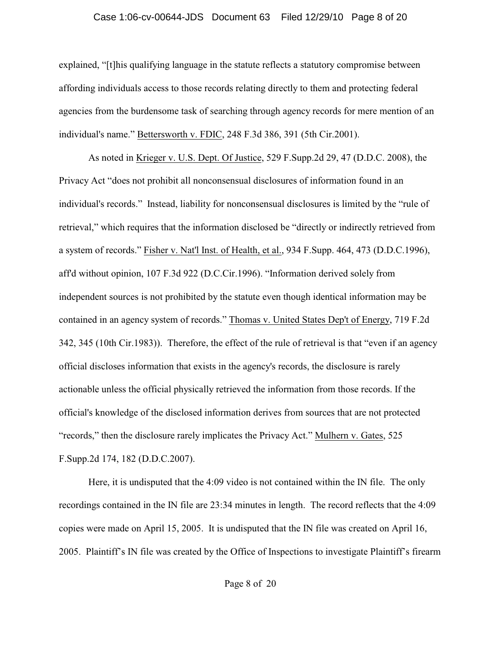## Case 1:06-cv-00644-JDS Document 63 Filed 12/29/10 Page 8 of 20

explained, "[t]his qualifying language in the statute reflects a statutory compromise between affording individuals access to those records relating directly to them and protecting federal agencies from the burdensome task of searching through agency records for mere mention of an individual's name." Bettersworth v. FDIC, 248 F.3d 386, 391 (5th Cir.2001).

As noted in Krieger v. U.S. Dept. Of Justice, 529 F.Supp.2d 29, 47 (D.D.C. 2008), the Privacy Act "does not prohibit all nonconsensual disclosures of information found in an individual's records." Instead, liability for nonconsensual disclosures is limited by the "rule of retrieval," which requires that the information disclosed be "directly or indirectly retrieved from a system of records." Fisher v. Nat'l Inst. of Health, et al., 934 F.Supp. 464, 473 (D.D.C.1996), aff'd without opinion, 107 F.3d 922 (D.C.Cir.1996). "Information derived solely from independent sources is not prohibited by the statute even though identical information may be contained in an agency system of records." Thomas v. United States Dep't of Energy, 719 F.2d 342, 345 (10th Cir.1983)). Therefore, the effect of the rule of retrieval is that "even if an agency official discloses information that exists in the agency's records, the disclosure is rarely actionable unless the official physically retrieved the information from those records. If the official's knowledge of the disclosed information derives from sources that are not protected "records," then the disclosure rarely implicates the Privacy Act." Mulhern v. Gates, 525 F.Supp.2d 174, 182 (D.D.C.2007).

Here, it is undisputed that the 4:09 video is not contained within the IN file. The only recordings contained in the IN file are 23:34 minutes in length. The record reflects that the 4:09 copies were made on April 15, 2005. It is undisputed that the IN file was created on April 16, 2005. Plaintiff's IN file was created by the Office of Inspections to investigate Plaintiff's firearm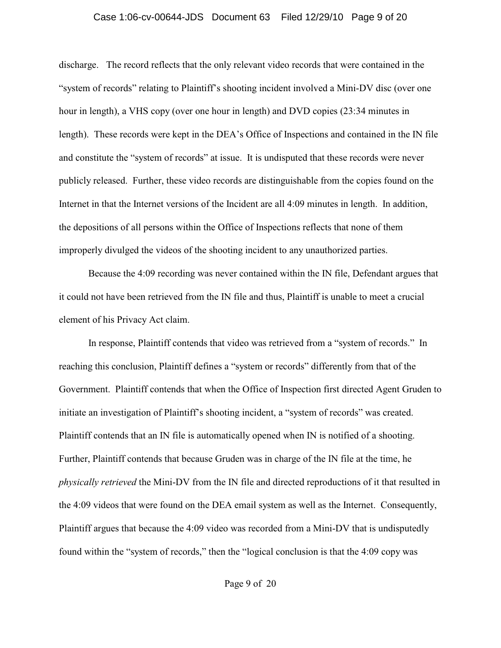### Case 1:06-cv-00644-JDS Document 63 Filed 12/29/10 Page 9 of 20

discharge. The record reflects that the only relevant video records that were contained in the "system of records" relating to Plaintiff's shooting incident involved a Mini-DV disc (over one hour in length), a VHS copy (over one hour in length) and DVD copies (23:34 minutes in length). These records were kept in the DEA's Office of Inspections and contained in the IN file and constitute the "system of records" at issue. It is undisputed that these records were never publicly released. Further, these video records are distinguishable from the copies found on the Internet in that the Internet versions of the Incident are all 4:09 minutes in length. In addition, the depositions of all persons within the Office of Inspections reflects that none of them improperly divulged the videos of the shooting incident to any unauthorized parties.

Because the 4:09 recording was never contained within the IN file, Defendant argues that it could not have been retrieved from the IN file and thus, Plaintiff is unable to meet a crucial element of his Privacy Act claim.

In response, Plaintiff contends that video was retrieved from a "system of records." In reaching this conclusion, Plaintiff defines a "system or records" differently from that of the Government. Plaintiff contends that when the Office of Inspection first directed Agent Gruden to initiate an investigation of Plaintiff's shooting incident, a "system of records" was created. Plaintiff contends that an IN file is automatically opened when IN is notified of a shooting. Further, Plaintiff contends that because Gruden was in charge of the IN file at the time, he *physically retrieved* the Mini-DV from the IN file and directed reproductions of it that resulted in the 4:09 videos that were found on the DEA email system as well as the Internet. Consequently, Plaintiff argues that because the 4:09 video was recorded from a Mini-DV that is undisputedly found within the "system of records," then the "logical conclusion is that the 4:09 copy was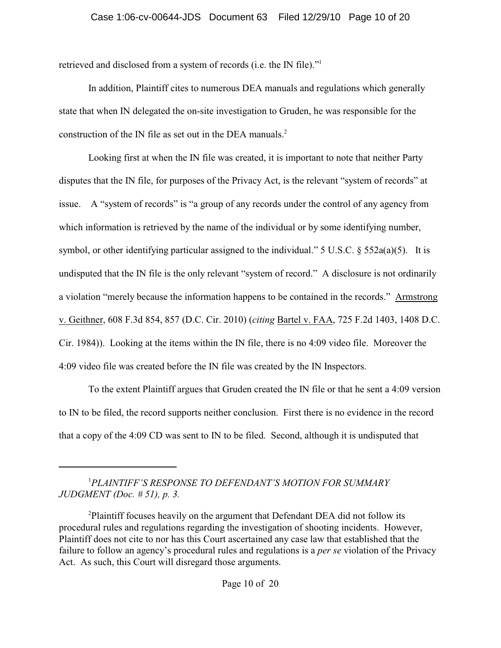retrieved and disclosed from a system of records (i.e. the IN file)."<sup>1</sup>

In addition, Plaintiff cites to numerous DEA manuals and regulations which generally state that when IN delegated the on-site investigation to Gruden, he was responsible for the construction of the IN file as set out in the DEA manuals. $2$ 

Looking first at when the IN file was created, it is important to note that neither Party disputes that the IN file, for purposes of the Privacy Act, is the relevant "system of records" at issue. A "system of records" is "a group of any records under the control of any agency from which information is retrieved by the name of the individual or by some identifying number, symbol, or other identifying particular assigned to the individual." 5 U.S.C. § 552a(a)(5). It is undisputed that the IN file is the only relevant "system of record." A disclosure is not ordinarily a violation "merely because the information happens to be contained in the records." Armstrong v. Geithner, 608 F.3d 854, 857 (D.C. Cir. 2010) (*citing* Bartel v. FAA, 725 F.2d 1403, 1408 D.C. Cir. 1984)). Looking at the items within the IN file, there is no 4:09 video file. Moreover the 4:09 video file was created before the IN file was created by the IN Inspectors.

To the extent Plaintiff argues that Gruden created the IN file or that he sent a 4:09 version to IN to be filed, the record supports neither conclusion. First there is no evidence in the record that a copy of the 4:09 CD was sent to IN to be filed. Second, although it is undisputed that

*PLAINTIFF'S RESPONSE TO DEFENDANT'S MOTION FOR SUMMARY* <sup>1</sup> *JUDGMENT (Doc. # 51), p. 3.*

Plaintiff focuses heavily on the argument that Defendant DEA did not follow its <sup>2</sup> procedural rules and regulations regarding the investigation of shooting incidents. However, Plaintiff does not cite to nor has this Court ascertained any case law that established that the failure to follow an agency's procedural rules and regulations is a *per se* violation of the Privacy Act. As such, this Court will disregard those arguments.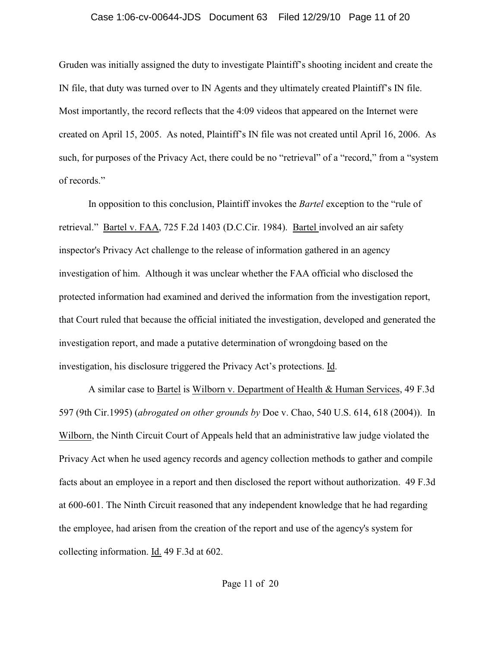#### Case 1:06-cv-00644-JDS Document 63 Filed 12/29/10 Page 11 of 20

Gruden was initially assigned the duty to investigate Plaintiff's shooting incident and create the IN file, that duty was turned over to IN Agents and they ultimately created Plaintiff's IN file. Most importantly, the record reflects that the 4:09 videos that appeared on the Internet were created on April 15, 2005. As noted, Plaintiff's IN file was not created until April 16, 2006. As such, for purposes of the Privacy Act, there could be no "retrieval" of a "record," from a "system of records."

In opposition to this conclusion, Plaintiff invokes the *Bartel* exception to the "rule of retrieval." Bartel v. FAA, 725 F.2d 1403 (D.C.Cir. 1984). Bartel involved an air safety inspector's Privacy Act challenge to the release of information gathered in an agency investigation of him. Although it was unclear whether the FAA official who disclosed the protected information had examined and derived the information from the investigation report, that Court ruled that because the official initiated the investigation, developed and generated the investigation report, and made a putative determination of wrongdoing based on the investigation, his disclosure triggered the Privacy Act's protections. Id.

A similar case to Bartel is Wilborn v. Department of Health & Human Services, 49 F.3d 597 (9th Cir.1995) (*abrogated on other grounds by* Doe v. Chao, 540 U.S. 614, 618 (2004)). In Wilborn, the Ninth Circuit Court of Appeals held that an administrative law judge violated the Privacy Act when he used agency records and agency collection methods to gather and compile facts about an employee in a report and then disclosed the report without authorization. 49 F.3d at 600-601. The Ninth Circuit reasoned that any independent knowledge that he had regarding the employee, had arisen from the creation of the report and use of the agency's system for collecting information. Id. 49 F.3d at 602.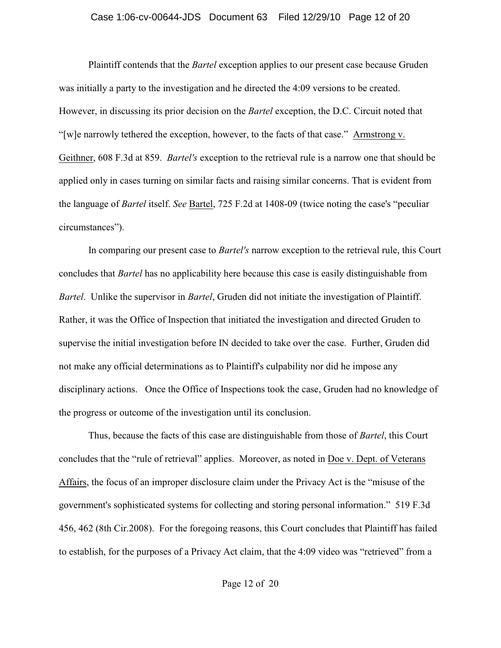#### Case 1:06-cv-00644-JDS Document 63 Filed 12/29/10 Page 12 of 20

Plaintiff contends that the *Bartel* exception applies to our present case because Gruden was initially a party to the investigation and he directed the 4:09 versions to be created. However, in discussing its prior decision on the *Bartel* exception, the D.C. Circuit noted that "[w]e narrowly tethered the exception, however, to the facts of that case." Armstrong v. Geithner, 608 F.3d at 859. *Bartel's* exception to the retrieval rule is a narrow one that should be applied only in cases turning on similar facts and raising similar concerns. That is evident from the language of *Bartel* itself. *See* Bartel, 725 F.2d at 1408-09 (twice noting the case's "peculiar circumstances").

In comparing our present case to *Bartel's* narrow exception to the retrieval rule, this Court concludes that *Bartel* has no applicability here because this case is easily distinguishable from *Bartel*. Unlike the supervisor in *Bartel*, Gruden did not initiate the investigation of Plaintiff. Rather, it was the Office of Inspection that initiated the investigation and directed Gruden to supervise the initial investigation before IN decided to take over the case. Further, Gruden did not make any official determinations as to Plaintiff's culpability nor did he impose any disciplinary actions. Once the Office of Inspections took the case, Gruden had no knowledge of the progress or outcome of the investigation until its conclusion.

Thus, because the facts of this case are distinguishable from those of *Bartel*, this Court concludes that the "rule of retrieval" applies. Moreover, as noted in Doe v. Dept. of Veterans Affairs, the focus of an improper disclosure claim under the Privacy Act is the "misuse of the government's sophisticated systems for collecting and storing personal information." 519 F.3d 456, 462 (8th Cir.2008). For the foregoing reasons, this Court concludes that Plaintiff has failed to establish, for the purposes of a Privacy Act claim, that the 4:09 video was "retrieved" from a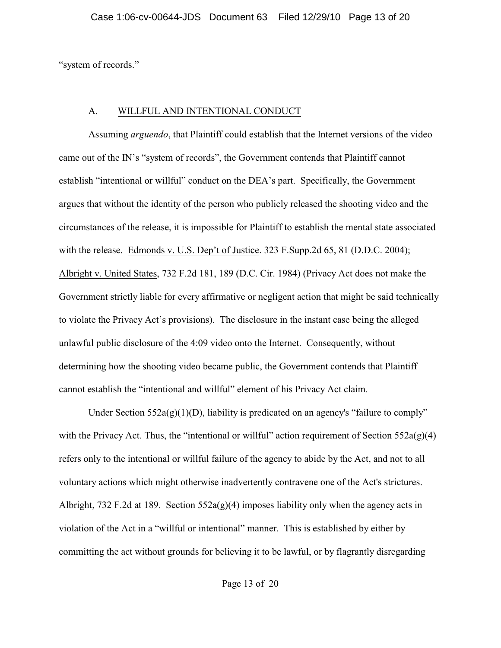"system of records."

# A. WILLFUL AND INTENTIONAL CONDUCT

Assuming *arguendo*, that Plaintiff could establish that the Internet versions of the video came out of the IN's "system of records", the Government contends that Plaintiff cannot establish "intentional or willful" conduct on the DEA's part. Specifically, the Government argues that without the identity of the person who publicly released the shooting video and the circumstances of the release, it is impossible for Plaintiff to establish the mental state associated with the release. Edmonds v. U.S. Dep't of Justice. 323 F.Supp.2d 65, 81 (D.D.C. 2004); Albright v. United States, 732 F.2d 181, 189 (D.C. Cir. 1984) (Privacy Act does not make the Government strictly liable for every affirmative or negligent action that might be said technically to violate the Privacy Act's provisions). The disclosure in the instant case being the alleged unlawful public disclosure of the 4:09 video onto the Internet. Consequently, without determining how the shooting video became public, the Government contends that Plaintiff cannot establish the "intentional and willful" element of his Privacy Act claim.

Under Section  $552a(g)(1)(D)$ , liability is predicated on an agency's "failure to comply" with the Privacy Act. Thus, the "intentional or willful" action requirement of Section  $552a(g)(4)$ refers only to the intentional or willful failure of the agency to abide by the Act, and not to all voluntary actions which might otherwise inadvertently contravene one of the Act's strictures. Albright, 732 F.2d at 189. Section  $552a(g)(4)$  imposes liability only when the agency acts in violation of the Act in a "willful or intentional" manner. This is established by either by committing the act without grounds for believing it to be lawful, or by flagrantly disregarding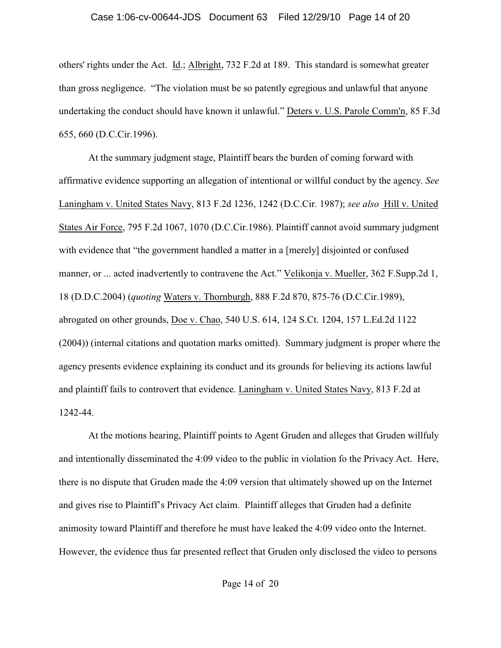#### Case 1:06-cv-00644-JDS Document 63 Filed 12/29/10 Page 14 of 20

others' rights under the Act. Id.; Albright, 732 F.2d at 189. This standard is somewhat greater than gross negligence. "The violation must be so patently egregious and unlawful that anyone undertaking the conduct should have known it unlawful." Deters v. U.S. Parole Comm'n, 85 F.3d 655, 660 (D.C.Cir.1996).

At the summary judgment stage, Plaintiff bears the burden of coming forward with affirmative evidence supporting an allegation of intentional or willful conduct by the agency. *See* Laningham v. United States Navy, 813 F.2d 1236, 1242 (D.C.Cir. 1987); *see also* Hill v. United States Air Force, 795 F.2d 1067, 1070 (D.C.Cir.1986). Plaintiff cannot avoid summary judgment with evidence that "the government handled a matter in a [merely] disjointed or confused manner, or ... acted inadvertently to contravene the Act." Velikonja v. Mueller, 362 F.Supp.2d 1, 18 (D.D.C.2004) (*quoting* Waters v. Thornburgh, 888 F.2d 870, 875-76 (D.C.Cir.1989), abrogated on other grounds, Doe v. Chao, 540 U.S. 614, 124 S.Ct. 1204, 157 L.Ed.2d 1122 (2004)) (internal citations and quotation marks omitted). Summary judgment is proper where the agency presents evidence explaining its conduct and its grounds for believing its actions lawful and plaintiff fails to controvert that evidence. Laningham v. United States Navy, 813 F.2d at 1242-44.

At the motions hearing, Plaintiff points to Agent Gruden and alleges that Gruden willfuly and intentionally disseminated the 4:09 video to the public in violation fo the Privacy Act. Here, there is no dispute that Gruden made the 4:09 version that ultimately showed up on the Internet and gives rise to Plaintiff's Privacy Act claim. Plaintiff alleges that Gruden had a definite animosity toward Plaintiff and therefore he must have leaked the 4:09 video onto the Internet. However, the evidence thus far presented reflect that Gruden only disclosed the video to persons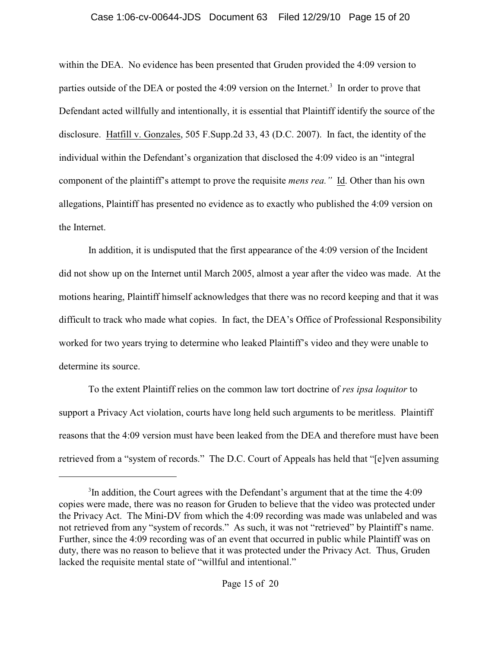## Case 1:06-cv-00644-JDS Document 63 Filed 12/29/10 Page 15 of 20

within the DEA. No evidence has been presented that Gruden provided the 4:09 version to parties outside of the DEA or posted the  $4:09$  version on the Internet.<sup>3</sup> In order to prove that Defendant acted willfully and intentionally, it is essential that Plaintiff identify the source of the disclosure. Hatfill v. Gonzales, 505 F.Supp.2d 33, 43 (D.C. 2007). In fact, the identity of the individual within the Defendant's organization that disclosed the 4:09 video is an "integral component of the plaintiff's attempt to prove the requisite *mens rea."* Id. Other than his own allegations, Plaintiff has presented no evidence as to exactly who published the 4:09 version on the Internet.

In addition, it is undisputed that the first appearance of the 4:09 version of the Incident did not show up on the Internet until March 2005, almost a year after the video was made. At the motions hearing, Plaintiff himself acknowledges that there was no record keeping and that it was difficult to track who made what copies. In fact, the DEA's Office of Professional Responsibility worked for two years trying to determine who leaked Plaintiff's video and they were unable to determine its source.

To the extent Plaintiff relies on the common law tort doctrine of *res ipsa loquitor* to support a Privacy Act violation, courts have long held such arguments to be meritless. Plaintiff reasons that the 4:09 version must have been leaked from the DEA and therefore must have been retrieved from a "system of records." The D.C. Court of Appeals has held that "[e]ven assuming

 $3$ In addition, the Court agrees with the Defendant's argument that at the time the 4:09 copies were made, there was no reason for Gruden to believe that the video was protected under the Privacy Act. The Mini-DV from which the 4:09 recording was made was unlabeled and was not retrieved from any "system of records." As such, it was not "retrieved" by Plaintiff's name. Further, since the 4:09 recording was of an event that occurred in public while Plaintiff was on duty, there was no reason to believe that it was protected under the Privacy Act. Thus, Gruden lacked the requisite mental state of "willful and intentional."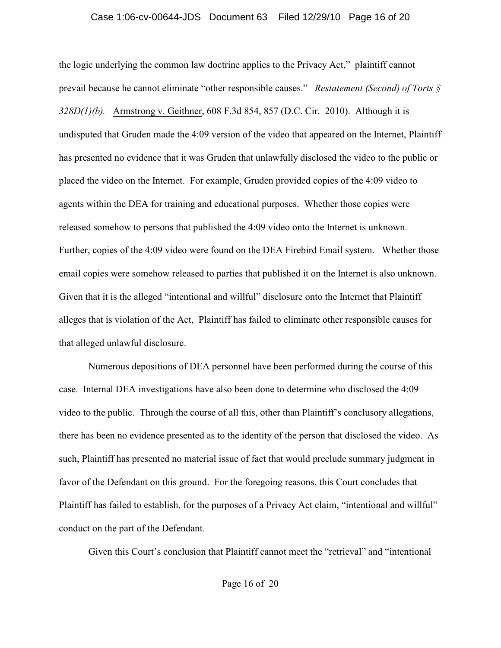## Case 1:06-cv-00644-JDS Document 63 Filed 12/29/10 Page 16 of 20

the logic underlying the common law doctrine applies to the Privacy Act," plaintiff cannot prevail because he cannot eliminate "other responsible causes." *Restatement (Second) of Torts § 328D(1)(b).* Armstrong v. Geithner, 608 F.3d 854, 857 (D.C. Cir. 2010). Although it is undisputed that Gruden made the 4:09 version of the video that appeared on the Internet, Plaintiff has presented no evidence that it was Gruden that unlawfully disclosed the video to the public or placed the video on the Internet. For example, Gruden provided copies of the 4:09 video to agents within the DEA for training and educational purposes. Whether those copies were released somehow to persons that published the 4:09 video onto the Internet is unknown. Further, copies of the 4:09 video were found on the DEA Firebird Email system. Whether those email copies were somehow released to parties that published it on the Internet is also unknown. Given that it is the alleged "intentional and willful" disclosure onto the Internet that Plaintiff alleges that is violation of the Act, Plaintiff has failed to eliminate other responsible causes for that alleged unlawful disclosure.

Numerous depositions of DEA personnel have been performed during the course of this case. Internal DEA investigations have also been done to determine who disclosed the 4:09 video to the public. Through the course of all this, other than Plaintiff's conclusory allegations, there has been no evidence presented as to the identity of the person that disclosed the video. As such, Plaintiff has presented no material issue of fact that would preclude summary judgment in favor of the Defendant on this ground. For the foregoing reasons, this Court concludes that Plaintiff has failed to establish, for the purposes of a Privacy Act claim, "intentional and willful" conduct on the part of the Defendant.

Given this Court's conclusion that Plaintiff cannot meet the "retrieval" and "intentional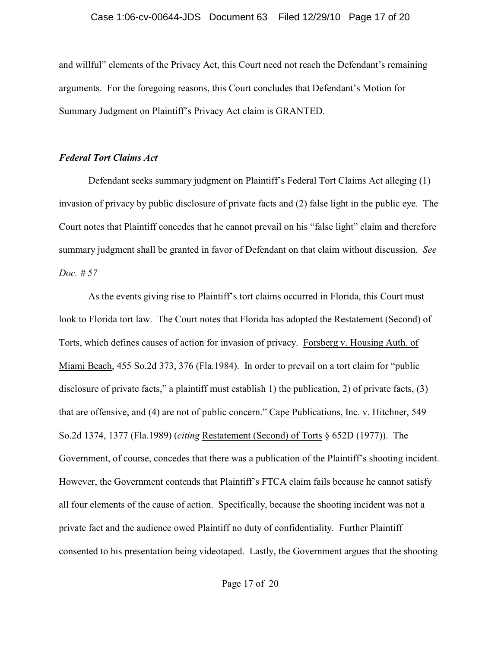and willful" elements of the Privacy Act, this Court need not reach the Defendant's remaining arguments. For the foregoing reasons, this Court concludes that Defendant's Motion for Summary Judgment on Plaintiff's Privacy Act claim is GRANTED.

## *Federal Tort Claims Act*

Defendant seeks summary judgment on Plaintiff's Federal Tort Claims Act alleging (1) invasion of privacy by public disclosure of private facts and (2) false light in the public eye. The Court notes that Plaintiff concedes that he cannot prevail on his "false light" claim and therefore summary judgment shall be granted in favor of Defendant on that claim without discussion. *See Doc. # 57*

As the events giving rise to Plaintiff's tort claims occurred in Florida, this Court must look to Florida tort law. The Court notes that Florida has adopted the Restatement (Second) of Torts, which defines causes of action for invasion of privacy. Forsberg v. Housing Auth. of Miami Beach, 455 So.2d 373, 376 (Fla.1984). In order to prevail on a tort claim for "public disclosure of private facts," a plaintiff must establish 1) the publication, 2) of private facts, (3) that are offensive, and (4) are not of public concern." Cape Publications, Inc. v. Hitchner, 549 So.2d 1374, 1377 (Fla.1989) (*citing* Restatement (Second) of Torts § 652D (1977)). The Government, of course, concedes that there was a publication of the Plaintiff's shooting incident. However, the Government contends that Plaintiff's FTCA claim fails because he cannot satisfy all four elements of the cause of action. Specifically, because the shooting incident was not a private fact and the audience owed Plaintiff no duty of confidentiality. Further Plaintiff consented to his presentation being videotaped. Lastly, the Government argues that the shooting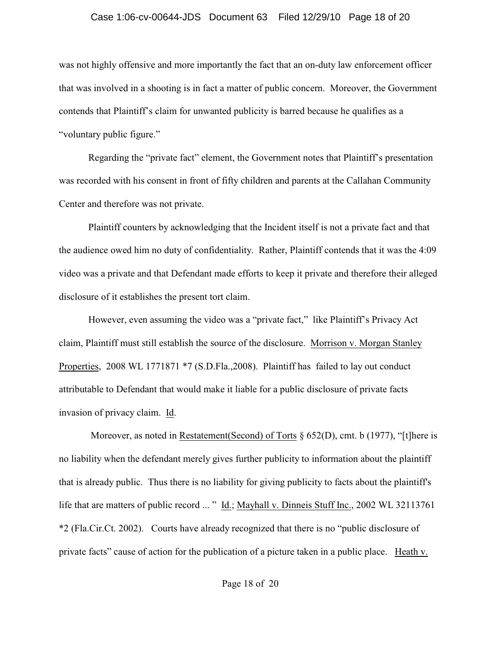### Case 1:06-cv-00644-JDS Document 63 Filed 12/29/10 Page 18 of 20

was not highly offensive and more importantly the fact that an on-duty law enforcement officer that was involved in a shooting is in fact a matter of public concern. Moreover, the Government contends that Plaintiff's claim for unwanted publicity is barred because he qualifies as a "voluntary public figure."

Regarding the "private fact" element, the Government notes that Plaintiff's presentation was recorded with his consent in front of fifty children and parents at the Callahan Community Center and therefore was not private.

Plaintiff counters by acknowledging that the Incident itself is not a private fact and that the audience owed him no duty of confidentiality. Rather, Plaintiff contends that it was the 4:09 video was a private and that Defendant made efforts to keep it private and therefore their alleged disclosure of it establishes the present tort claim.

However, even assuming the video was a "private fact," like Plaintiff's Privacy Act claim, Plaintiff must still establish the source of the disclosure. Morrison v. Morgan Stanley Properties, 2008 WL 1771871 \*7 (S.D.Fla.,2008). Plaintiff has failed to lay out conduct attributable to Defendant that would make it liable for a public disclosure of private facts invasion of privacy claim. Id.

Moreover, as noted in Restatement(Second) of Torts § 652(D), cmt. b (1977), "[t]here is no liability when the defendant merely gives further publicity to information about the plaintiff that is already public. Thus there is no liability for giving publicity to facts about the plaintiff's life that are matters of public record ... " Id.; Mayhall v. Dinneis Stuff Inc., 2002 WL 32113761 \*2 (Fla.Cir.Ct. 2002). Courts have already recognized that there is no "public disclosure of private facts" cause of action for the publication of a picture taken in a public place. Heath v.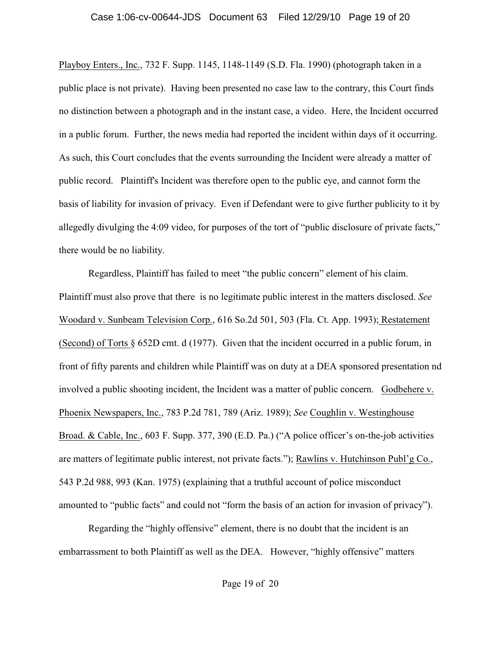## Case 1:06-cv-00644-JDS Document 63 Filed 12/29/10 Page 19 of 20

Playboy Enters., Inc., 732 F. Supp. 1145, 1148-1149 (S.D. Fla. 1990) (photograph taken in a public place is not private). Having been presented no case law to the contrary, this Court finds no distinction between a photograph and in the instant case, a video. Here, the Incident occurred in a public forum. Further, the news media had reported the incident within days of it occurring. As such, this Court concludes that the events surrounding the Incident were already a matter of public record. Plaintiff's Incident was therefore open to the public eye, and cannot form the basis of liability for invasion of privacy. Even if Defendant were to give further publicity to it by allegedly divulging the 4:09 video, for purposes of the tort of "public disclosure of private facts," there would be no liability.

Regardless, Plaintiff has failed to meet "the public concern" element of his claim. Plaintiff must also prove that there is no legitimate public interest in the matters disclosed. *See* Woodard v. Sunbeam Television Corp., 616 So.2d 501, 503 (Fla. Ct. App. 1993); Restatement (Second) of Torts § 652D cmt. d (1977). Given that the incident occurred in a public forum, in front of fifty parents and children while Plaintiff was on duty at a DEA sponsored presentation nd involved a public shooting incident, the Incident was a matter of public concern. Godbehere v. Phoenix Newspapers, Inc., 783 P.2d 781, 789 (Ariz. 1989); *See* Coughlin v. Westinghouse Broad. & Cable, Inc., 603 F. Supp. 377, 390 (E.D. Pa.) ("A police officer's on-the-job activities are matters of legitimate public interest, not private facts."); Rawlins v. Hutchinson Publ'g Co., 543 P.2d 988, 993 (Kan. 1975) (explaining that a truthful account of police misconduct amounted to "public facts" and could not "form the basis of an action for invasion of privacy").

Regarding the "highly offensive" element, there is no doubt that the incident is an embarrassment to both Plaintiff as well as the DEA. However, "highly offensive" matters